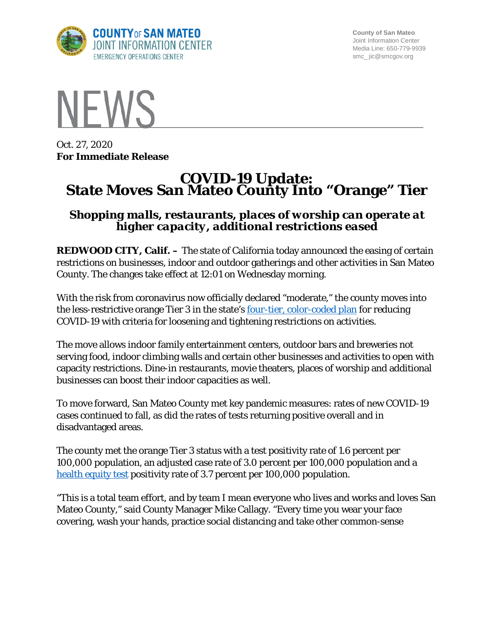

**County of San Mateo** Joint Information Center Media Line: 650-779-9939 smc\_ jic@smcgov.org



Oct. 27, 2020 **For Immediate Release**

# **COVID-19 Update: State Moves San Mateo County Into "Orange" Tier**

# *Shopping malls, restaurants, places of worship can operate at higher capacity, additional restrictions eased*

**REDWOOD CITY, Calif.** – The state of California today announced the easing of certain restrictions on businesses, indoor and outdoor gatherings and other activities in San Mateo County. The changes take effect at 12:01 on Wednesday morning.

With the risk from coronavirus now officially declared "moderate," the county moves into the less-restrictive orange Tier 3 in the state's <u>four-tier, color-coded plan</u> for reducing COVID-19 with criteria for loosening and tightening restrictions on activities.

The move allows indoor family entertainment centers, outdoor bars and breweries not serving food, indoor climbing walls and certain other businesses and activities to open with capacity restrictions. Dine-in restaurants, movie theaters, places of worship and additional businesses can boost their indoor capacities as well.

To move forward, San Mateo County met key pandemic measures: rates of new COVID-19 cases continued to fall, as did the rates of tests returning positive overall and in disadvantaged areas.

The county met the orange Tier 3 status with a test positivity rate of 1.6 percent per 100,000 population, an adjusted case rate of 3.0 percent per 100,000 population and a [health equity test](https://www.cdph.ca.gov/Programs/CID/DCDC/Pages/COVID-19/CaliforniaHealthEquityMetric.aspx) positivity rate of 3.7 percent per 100,000 population.

"This is a total team effort, and by team I mean everyone who lives and works and loves San Mateo County," said County Manager Mike Callagy. "Every time you wear your face covering, wash your hands, practice social distancing and take other common-sense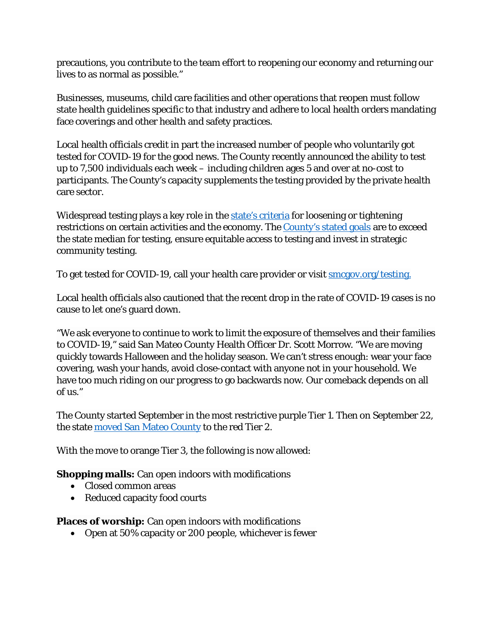precautions, you contribute to the team effort to reopening our economy and returning our lives to as normal as possible."

Businesses, museums, child care facilities and other operations that reopen must follow state health guidelines specific to that industry and adhere to local health orders mandating face coverings and other health and safety practices.

Local health officials credit in part the increased number of people who voluntarily got tested for COVID-19 for the good news. The County recently announced the ability to test up to 7,500 individuals each week – including children ages 5 and over at no-cost to participants. The County's capacity supplements the testing provided by the private health care sector.

Widespread testing plays a key role in the [state's criteria](https://covid19.ca.gov/safer-economy/) for loosening or tightening restrictions on certain activities and the economy. The [County's stated goals](https://www.smcgov.org/testing-strategy-covid-19) are to exceed the state median for testing, ensure equitable access to testing and invest in strategic community testing.

To get tested for COVID-19, call your health care provider or visit **smcgov.org/testing**.

Local health officials also cautioned that the recent drop in the rate of COVID-19 cases is no cause to let one's guard down.

"We ask everyone to continue to work to limit the exposure of themselves and their families to COVID-19," said San Mateo County Health Officer Dr. Scott Morrow. "We are moving quickly towards Halloween and the holiday season. We can't stress enough: wear your face covering, wash your hands, avoid close-contact with anyone not in your household. We have too much riding on our progress to go backwards now. Our comeback depends on all of us."

The County started September in the most restrictive purple Tier 1. Then on September 22, the state [moved San Mateo County](https://cmo.smcgov.org/press-release/sept-22-2020-covid-19-update-some-health-and-safety-restrictions-eased) to the red Tier 2.

With the move to orange Tier 3, the following is now allowed:

**Shopping malls:** Can open indoors with modifications

- Closed common areas
- Reduced capacity food courts

**Places of worship:** Can open indoors with modifications

• Open at 50% capacity or 200 people, whichever is fewer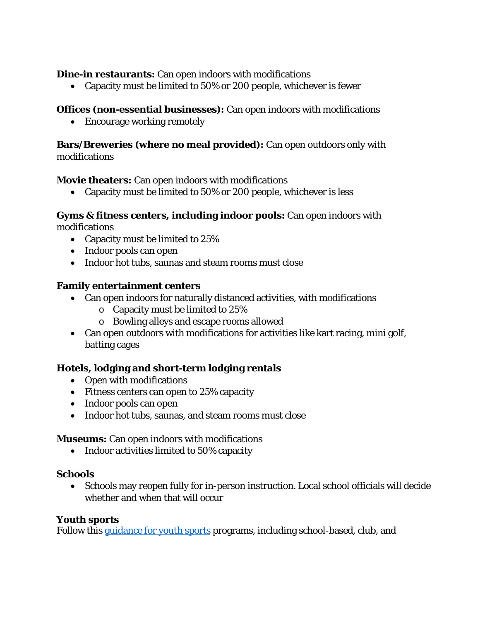**Dine-in restaurants:** Can open indoors with modifications

• Capacity must be limited to 50% or 200 people, whichever is fewer

## **Offices (non-essential businesses):** Can open indoors with modifications

• Encourage working remotely

## **Bars/Breweries (where no meal provided):** Can open outdoors only with modifications

### **Movie theaters:** Can open indoors with modifications

• Capacity must be limited to 50% or 200 people, whichever is less

#### **Gyms & fitness centers, including indoor pools:** Can open indoors with modifications

- Capacity must be limited to 25%
- Indoor pools can open
- Indoor hot tubs, saunas and steam rooms must close

### **Family entertainment centers**

- Can open indoors for naturally distanced activities, with modifications
	- o Capacity must be limited to 25%
	- o Bowling alleys and escape rooms allowed
- Can open outdoors with modifications for activities like kart racing, mini golf, batting cages

# **Hotels, lodging and short-term lodging rentals**

- Open with modifications
- Fitness centers can open to 25% capacity
- Indoor pools can open
- Indoor hot tubs, saunas, and steam rooms must close

#### **Museums:** Can open indoors with modifications

• Indoor activities limited to 50% capacity

#### **Schools**

• Schools may reopen fully for in-person instruction. Local school officials will decide whether and when that will occur

#### **Youth sports**

Follow this [guidance for youth sports](https://files.covid19.ca.gov/pdf/guidance-youth-sports--en.pdf) programs, including school-based, club, and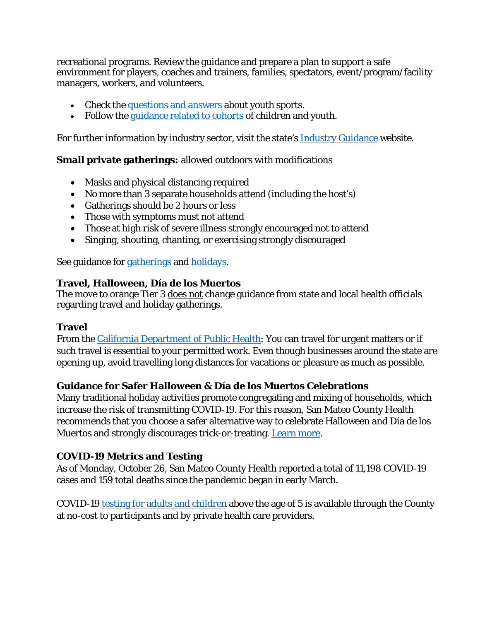recreational programs. Review the guidance and prepare a plan to support a safe environment for players, coaches and trainers, families, spectators, event/program/facility managers, workers, and volunteers.

- Check the [questions and answers](https://www.cdph.ca.gov/Programs/CID/DCDC/Pages/COVID-19/Youth-Sports-FAQ.aspx) about youth sports.
- Follow the [guidance related to cohorts](https://covid19.ca.gov/industry-guidance/#cohort-guidance) of children and youth.

For further information by industry sector, visit the state's [Industry Guidance](https://covid19.ca.gov/industry-guidance/) website.

**Small private gatherings:** allowed outdoors with modifications

- Masks and physical distancing required
- No more than 3 separate households attend (including the host's)
- Gatherings should be 2 hours or less
- Those with symptoms must not attend
- Those at high risk of severe illness strongly encouraged not to attend
- Singing, shouting, chanting, or exercising strongly discouraged

See guidance for [gatherings](https://covid19.ca.gov/stay-home-except-for-essential-needs/#gatherings) and [holidays.](https://covid19.ca.gov/holidays/)

### **Travel, Halloween, Día de los Muertos**

The move to orange Tier 3 does not change guidance from state and local health officials regarding travel and holiday gatherings.

#### **Travel**

From the [California Department of Public Health:](https://www.cdph.ca.gov/Programs/CID/DCDC/Pages/Immunization/ncov2019.aspx#Travel) You can travel for urgent matters or if such travel is essential to your permitted work. Even though businesses around the state are opening up, avoid travelling long distances for vacations or pleasure as much as possible.

# **Guidance for Safer Halloween & Día de los Muertos Celebrations**

Many traditional holiday activities promote congregating and mixing of households, which increase the risk of transmitting COVID-19. For this reason, San Mateo County Health recommends that you choose a safer alternative way to celebrate Halloween and Día de los Muertos and strongly discourages trick-or-treating. [Learn more.](https://www.smchealth.org/health-officer-updates/halloween-safety-guidance)

# **COVID-19 Metrics and Testing**

As of Monday, October 26, San Mateo County Health reported a total of 11,198 COVID-19 cases and 159 total deaths since the pandemic began in early March.

COVID-19 [testing for adults and children](https://www.smcgov.org/testing-strategy-covid-19) above the age of 5 is available through the County at no-cost to participants and by private health care providers.